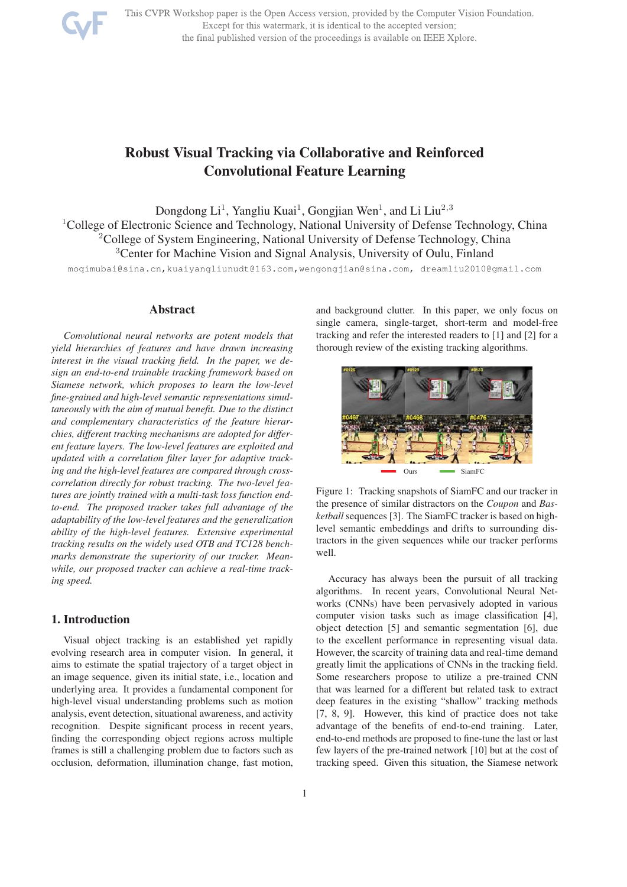

This CVPR Workshop paper is the Open Access version, provided by the Computer Vision Foundation. Except for this watermark, it is identical to the accepted version; the final published version of the proceedings is available on IEEE Xplore.

# Robust Visual Tracking via Collaborative and Reinforced Convolutional Feature Learning

Dongdong Li<sup>1</sup>, Yangliu Kuai<sup>1</sup>, Gongjian Wen<sup>1</sup>, and Li Liu<sup>2,3</sup> <sup>1</sup>College of Electronic Science and Technology, National University of Defense Technology, China <sup>2</sup>College of System Engineering, National University of Defense Technology, China <sup>3</sup>Center for Machine Vision and Signal Analysis, University of Oulu, Finland

moqimubai@sina.cn,kuaiyangliunudt@163.com,wengongjian@sina.com, dreamliu2010@gmail.com

## Abstract

*Convolutional neural networks are potent models that yield hierarchies of features and have drawn increasing interest in the visual tracking field. In the paper, we design an end-to-end trainable tracking framework based on Siamese network, which proposes to learn the low-level fine-grained and high-level semantic representations simultaneously with the aim of mutual benefit. Due to the distinct and complementary characteristics of the feature hierarchies, different tracking mechanisms are adopted for different feature layers. The low-level features are exploited and updated with a correlation filter layer for adaptive tracking and the high-level features are compared through crosscorrelation directly for robust tracking. The two-level features are jointly trained with a multi-task loss function endto-end. The proposed tracker takes full advantage of the adaptability of the low-level features and the generalization ability of the high-level features. Extensive experimental tracking results on the widely used OTB and TC128 benchmarks demonstrate the superiority of our tracker. Meanwhile, our proposed tracker can achieve a real-time tracking speed.*

# 1. Introduction

Visual object tracking is an established yet rapidly evolving research area in computer vision. In general, it aims to estimate the spatial trajectory of a target object in an image sequence, given its initial state, i.e., location and underlying area. It provides a fundamental component for high-level visual understanding problems such as motion analysis, event detection, situational awareness, and activity recognition. Despite significant process in recent years, finding the corresponding object regions across multiple frames is still a challenging problem due to factors such as occlusion, deformation, illumination change, fast motion,

and background clutter. In this paper, we only focus on single camera, single-target, short-term and model-free tracking and refer the interested readers to [1] and [2] for a thorough review of the existing tracking algorithms.



Figure 1: Tracking snapshots of SiamFC and our tracker in the presence of similar distractors on the *Coupon* and *Basketball* sequences [3]. The SiamFC tracker is based on highlevel semantic embeddings and drifts to surrounding distractors in the given sequences while our tracker performs well.

Accuracy has always been the pursuit of all tracking algorithms. In recent years, Convolutional Neural Networks (CNNs) have been pervasively adopted in various computer vision tasks such as image classification [4], object detection [5] and semantic segmentation [6], due to the excellent performance in representing visual data. However, the scarcity of training data and real-time demand greatly limit the applications of CNNs in the tracking field. Some researchers propose to utilize a pre-trained CNN that was learned for a different but related task to extract deep features in the existing "shallow" tracking methods [7, 8, 9]. However, this kind of practice does not take advantage of the benefits of end-to-end training. Later, end-to-end methods are proposed to fine-tune the last or last few layers of the pre-trained network [10] but at the cost of tracking speed. Given this situation, the Siamese network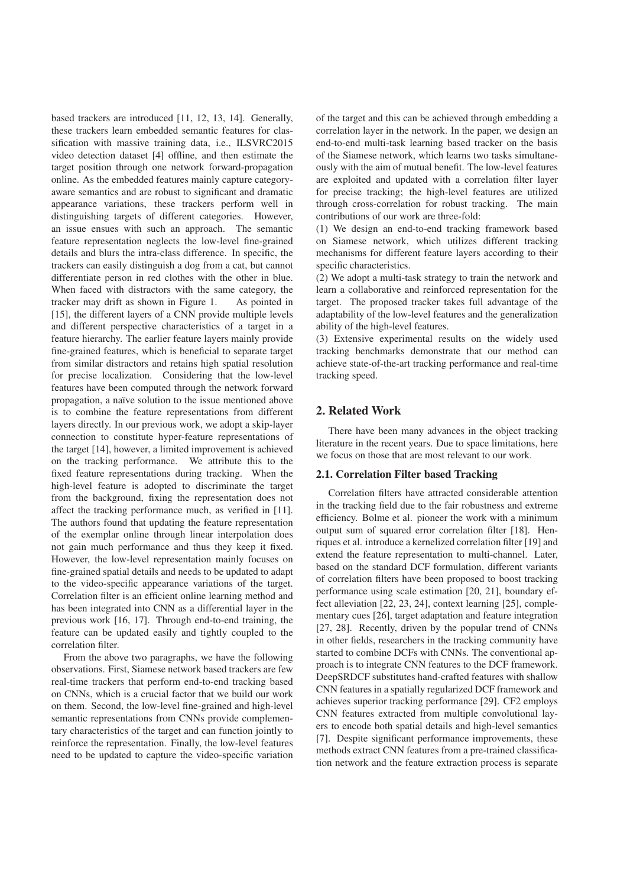based trackers are introduced [11, 12, 13, 14]. Generally, these trackers learn embedded semantic features for classification with massive training data, i.e., ILSVRC2015 video detection dataset [4] offline, and then estimate the target position through one network forward-propagation online. As the embedded features mainly capture categoryaware semantics and are robust to significant and dramatic appearance variations, these trackers perform well in distinguishing targets of different categories. However, an issue ensues with such an approach. The semantic feature representation neglects the low-level fine-grained details and blurs the intra-class difference. In specific, the trackers can easily distinguish a dog from a cat, but cannot differentiate person in red clothes with the other in blue. When faced with distractors with the same category, the tracker may drift as shown in Figure 1. As pointed in [15], the different layers of a CNN provide multiple levels and different perspective characteristics of a target in a feature hierarchy. The earlier feature layers mainly provide fine-grained features, which is beneficial to separate target from similar distractors and retains high spatial resolution for precise localization. Considering that the low-level features have been computed through the network forward propagation, a naïve solution to the issue mentioned above is to combine the feature representations from different layers directly. In our previous work, we adopt a skip-layer connection to constitute hyper-feature representations of the target [14], however, a limited improvement is achieved on the tracking performance. We attribute this to the fixed feature representations during tracking. When the high-level feature is adopted to discriminate the target from the background, fixing the representation does not affect the tracking performance much, as verified in [11]. The authors found that updating the feature representation of the exemplar online through linear interpolation does not gain much performance and thus they keep it fixed. However, the low-level representation mainly focuses on fine-grained spatial details and needs to be updated to adapt to the video-specific appearance variations of the target. Correlation filter is an efficient online learning method and has been integrated into CNN as a differential layer in the previous work [16, 17]. Through end-to-end training, the feature can be updated easily and tightly coupled to the correlation filter.

From the above two paragraphs, we have the following observations. First, Siamese network based trackers are few real-time trackers that perform end-to-end tracking based on CNNs, which is a crucial factor that we build our work on them. Second, the low-level fine-grained and high-level semantic representations from CNNs provide complementary characteristics of the target and can function jointly to reinforce the representation. Finally, the low-level features need to be updated to capture the video-specific variation of the target and this can be achieved through embedding a correlation layer in the network. In the paper, we design an end-to-end multi-task learning based tracker on the basis of the Siamese network, which learns two tasks simultaneously with the aim of mutual benefit. The low-level features are exploited and updated with a correlation filter layer for precise tracking; the high-level features are utilized through cross-correlation for robust tracking. The main contributions of our work are three-fold:

(1) We design an end-to-end tracking framework based on Siamese network, which utilizes different tracking mechanisms for different feature layers according to their specific characteristics.

(2) We adopt a multi-task strategy to train the network and learn a collaborative and reinforced representation for the target. The proposed tracker takes full advantage of the adaptability of the low-level features and the generalization ability of the high-level features.

(3) Extensive experimental results on the widely used tracking benchmarks demonstrate that our method can achieve state-of-the-art tracking performance and real-time tracking speed.

# 2. Related Work

There have been many advances in the object tracking literature in the recent years. Due to space limitations, here we focus on those that are most relevant to our work.

#### 2.1. Correlation Filter based Tracking

Correlation filters have attracted considerable attention in the tracking field due to the fair robustness and extreme efficiency. Bolme et al. pioneer the work with a minimum output sum of squared error correlation filter [18]. Henriques et al. introduce a kernelized correlation filter [19] and extend the feature representation to multi-channel. Later, based on the standard DCF formulation, different variants of correlation filters have been proposed to boost tracking performance using scale estimation [20, 21], boundary effect alleviation [22, 23, 24], context learning [25], complementary cues [26], target adaptation and feature integration [27, 28]. Recently, driven by the popular trend of CNNs in other fields, researchers in the tracking community have started to combine DCFs with CNNs. The conventional approach is to integrate CNN features to the DCF framework. DeepSRDCF substitutes hand-crafted features with shallow CNN features in a spatially regularized DCF framework and achieves superior tracking performance [29]. CF2 employs CNN features extracted from multiple convolutional layers to encode both spatial details and high-level semantics [7]. Despite significant performance improvements, these methods extract CNN features from a pre-trained classification network and the feature extraction process is separate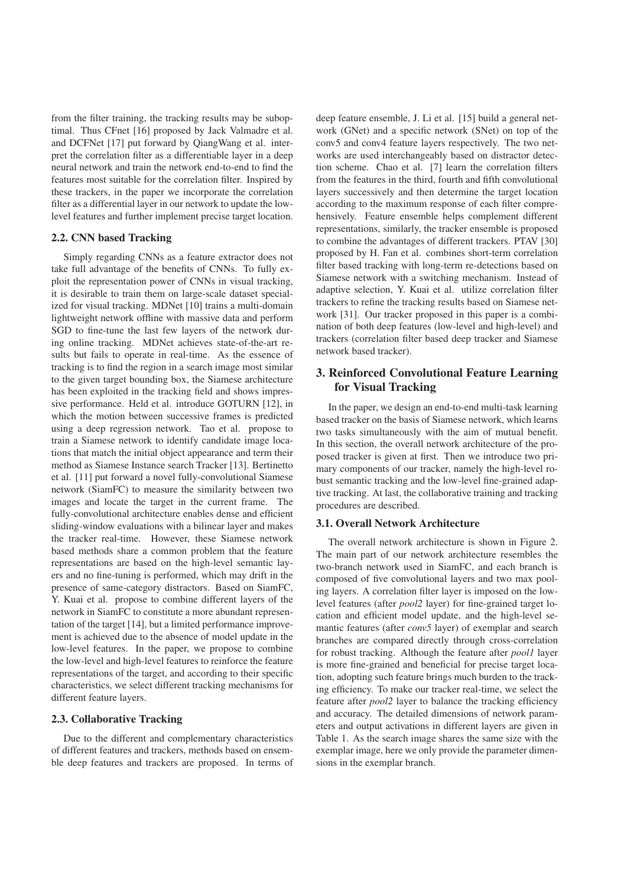from the filter training, the tracking results may be suboptimal. Thus CFnet [16] proposed by Jack Valmadre et al. and DCFNet [17] put forward by QiangWang et al. interpret the correlation filter as a differentiable layer in a deep neural network and train the network end-to-end to find the features most suitable for the correlation filter. Inspired by these trackers, in the paper we incorporate the correlation filter as a differential layer in our network to update the lowlevel features and further implement precise target location.

#### 2.2. CNN based Tracking

Simply regarding CNNs as a feature extractor does not take full advantage of the benefits of CNNs. To fully exploit the representation power of CNNs in visual tracking, it is desirable to train them on large-scale dataset specialized for visual tracking. MDNet [10] trains a multi-domain lightweight network offline with massive data and perform SGD to fine-tune the last few layers of the network during online tracking. MDNet achieves state-of-the-art results but fails to operate in real-time. As the essence of tracking is to find the region in a search image most similar to the given target bounding box, the Siamese architecture has been exploited in the tracking field and shows impressive performance. Held et al. introduce GOTURN [12], in which the motion between successive frames is predicted using a deep regression network. Tao et al. propose to train a Siamese network to identify candidate image locations that match the initial object appearance and term their method as Siamese Instance search Tracker [13]. Bertinetto et al. [11] put forward a novel fully-convolutional Siamese network (SiamFC) to measure the similarity between two images and locate the target in the current frame. The fully-convolutional architecture enables dense and efficient sliding-window evaluations with a bilinear layer and makes the tracker real-time. However, these Siamese network based methods share a common problem that the feature representations are based on the high-level semantic layers and no fine-tuning is performed, which may drift in the presence of same-category distractors. Based on SiamFC, Y. Kuai et al. propose to combine different layers of the network in SiamFC to constitute a more abundant representation of the target [14], but a limited performance improvement is achieved due to the absence of model update in the low-level features. In the paper, we propose to combine the low-level and high-level features to reinforce the feature representations of the target, and according to their specific characteristics, we select different tracking mechanisms for different feature layers.

## 2.3. Collaborative Tracking

Due to the different and complementary characteristics of different features and trackers, methods based on ensemble deep features and trackers are proposed. In terms of deep feature ensemble, J. Li et al. [15] build a general network (GNet) and a specific network (SNet) on top of the conv5 and conv4 feature layers respectively. The two networks are used interchangeably based on distractor detection scheme. Chao et al. [7] learn the correlation filters from the features in the third, fourth and fifth convolutional layers successively and then determine the target location according to the maximum response of each filter comprehensively. Feature ensemble helps complement different representations, similarly, the tracker ensemble is proposed to combine the advantages of different trackers. PTAV [30] proposed by H. Fan et al. combines short-term correlation filter based tracking with long-term re-detections based on Siamese network with a switching mechanism. Instead of adaptive selection, Y. Kuai et al. utilize correlation filter trackers to refine the tracking results based on Siamese network [31]. Our tracker proposed in this paper is a combination of both deep features (low-level and high-level) and trackers (correlation filter based deep tracker and Siamese network based tracker).

# 3. Reinforced Convolutional Feature Learning for Visual Tracking

In the paper, we design an end-to-end multi-task learning based tracker on the basis of Siamese network, which learns two tasks simultaneously with the aim of mutual benefit. In this section, the overall network architecture of the proposed tracker is given at first. Then we introduce two primary components of our tracker, namely the high-level robust semantic tracking and the low-level fine-grained adaptive tracking. At last, the collaborative training and tracking procedures are described.

# 3.1. Overall Network Architecture

The overall network architecture is shown in Figure 2. The main part of our network architecture resembles the two-branch network used in SiamFC, and each branch is composed of five convolutional layers and two max pooling layers. A correlation filter layer is imposed on the lowlevel features (after *pool2* layer) for fine-grained target location and efficient model update, and the high-level semantic features (after *conv5* layer) of exemplar and search branches are compared directly through cross-correlation for robust tracking. Although the feature after *pool1* layer is more fine-grained and beneficial for precise target location, adopting such feature brings much burden to the tracking efficiency. To make our tracker real-time, we select the feature after *pool2* layer to balance the tracking efficiency and accuracy. The detailed dimensions of network parameters and output activations in different layers are given in Table 1. As the search image shares the same size with the exemplar image, here we only provide the parameter dimensions in the exemplar branch.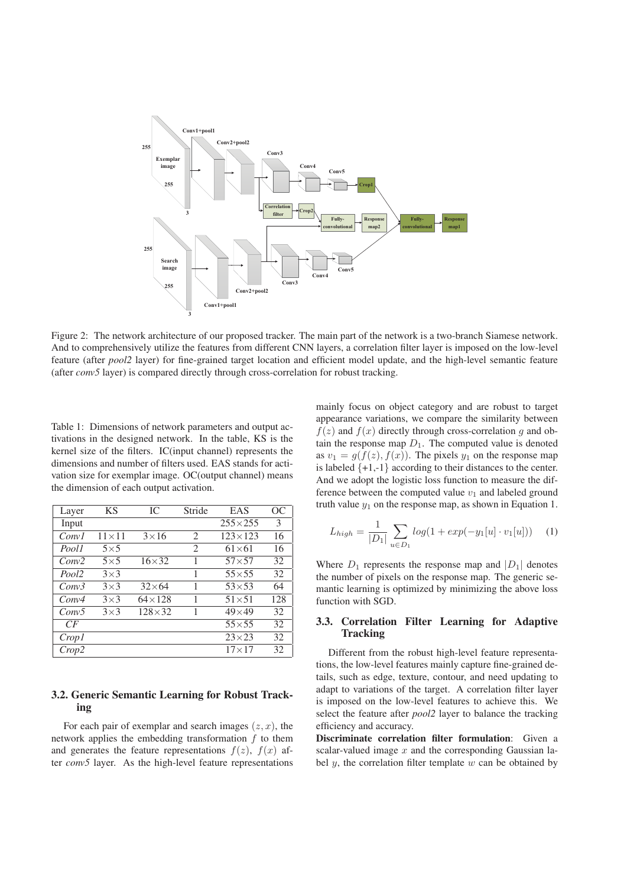

Figure 2: The network architecture of our proposed tracker. The main part of the network is a two-branch Siamese network. And to comprehensively utilize the features from different CNN layers, a correlation filter layer is imposed on the low-level feature (after *pool2* layer) for fine-grained target location and efficient model update, and the high-level semantic feature (after *conv5* layer) is compared directly through cross-correlation for robust tracking.

Table 1: Dimensions of network parameters and output activations in the designed network. In the table, KS is the kernel size of the filters. IC(input channel) represents the dimensions and number of filters used. EAS stands for activation size for exemplar image. OC(output channel) means the dimension of each output activation.

| Layer             | <b>KS</b>      | IC.           | Stride                      | EAS              | ОC  |
|-------------------|----------------|---------------|-----------------------------|------------------|-----|
| Input             |                |               |                             | $255 \times 255$ | 3   |
| Conv <sub>1</sub> | $11 \times 11$ | $3\times16$   | $\mathcal{L}$               | $123 \times 123$ | 16  |
| Pool1             | $5\times 5$    |               | $\mathcal{D}_{\mathcal{L}}$ | $61\times 61$    | 16  |
| Conv2             | $5\times5$     | $16\times32$  | 1                           | $57\times57$     | 32  |
| Pool <sub>2</sub> | $3\times3$     |               | 1                           | $55 \times 55$   | 32  |
| Conv3             | $3\times3$     | $32\times 64$ | 1                           | $53\times53$     | 64  |
| Conv4             | $3\times3$     | $64\times128$ | 1                           | $51\times51$     | 128 |
| Conv5             | $3\times3$     | $128\times32$ | 1                           | $49\times49$     | 32  |
| CF                |                |               |                             | $55\times55$     | 32  |
| Crop1             |                |               |                             | $23\times23$     | 32  |
| Crop2             |                |               |                             | $17\times17$     | 32  |

## 3.2. Generic Semantic Learning for Robust Tracking

For each pair of exemplar and search images  $(z, x)$ , the network applies the embedding transformation  $f$  to them and generates the feature representations  $f(z)$ ,  $f(x)$  after *conv5* layer. As the high-level feature representations mainly focus on object category and are robust to target appearance variations, we compare the similarity between  $f(z)$  and  $f(x)$  directly through cross-correlation g and obtain the response map  $D_1$ . The computed value is denoted as  $v_1 = g(f(z), f(x))$ . The pixels  $y_1$  on the response map is labeled  $\{+1,-1\}$  according to their distances to the center. And we adopt the logistic loss function to measure the difference between the computed value  $v_1$  and labeled ground truth value  $y_1$  on the response map, as shown in Equation 1.

$$
L_{high} = \frac{1}{|D_1|} \sum_{u \in D_1} log(1 + exp(-y_1[u] \cdot v_1[u])) \quad (1)
$$

Where  $D_1$  represents the response map and  $|D_1|$  denotes the number of pixels on the response map. The generic semantic learning is optimized by minimizing the above loss function with SGD.

## 3.3. Correlation Filter Learning for Adaptive **Tracking**

Different from the robust high-level feature representations, the low-level features mainly capture fine-grained details, such as edge, texture, contour, and need updating to adapt to variations of the target. A correlation filter layer is imposed on the low-level features to achieve this. We select the feature after *pool2* layer to balance the tracking efficiency and accuracy.

Discriminate correlation filter formulation: Given a scalar-valued image  $x$  and the corresponding Gaussian label  $y$ , the correlation filter template  $w$  can be obtained by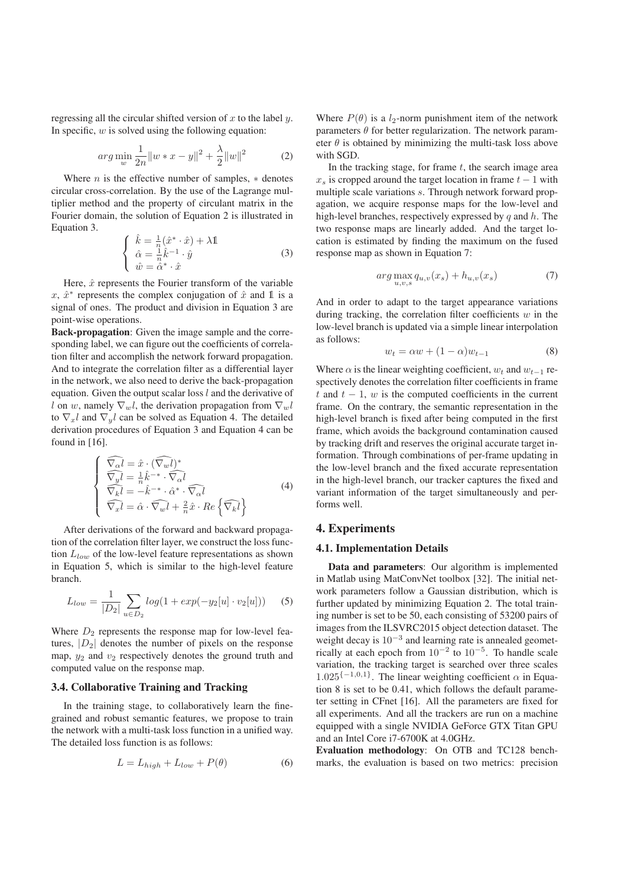regressing all the circular shifted version of  $x$  to the label  $y$ . In specific,  $w$  is solved using the following equation:

$$
arg\min_{w} \frac{1}{2n} ||w * x - y||^{2} + \frac{\lambda}{2} ||w||^{2}
$$
 (2)

Where  $n$  is the effective number of samples,  $*$  denotes circular cross-correlation. By the use of the Lagrange multiplier method and the property of circulant matrix in the Fourier domain, the solution of Equation 2 is illustrated in Equation 3.

$$
\begin{cases}\n\hat{k} = \frac{1}{n}(\hat{x}^* \cdot \hat{x}) + \lambda \mathbb{1} \\
\hat{\alpha} = \frac{1}{n}\hat{k}^{-1} \cdot \hat{y} \\
\hat{w} = \hat{\alpha}^* \cdot \hat{x}\n\end{cases}
$$
\n(3)

Here,  $\hat{x}$  represents the Fourier transform of the variable x,  $\hat{x}^*$  represents the complex conjugation of  $\hat{x}$  and  $\hat{\mathbb{1}}$  is a signal of ones. The product and division in Equation 3 are point-wise operations.

Back-propagation: Given the image sample and the corresponding label, we can figure out the coefficients of correlation filter and accomplish the network forward propagation. And to integrate the correlation filter as a differential layer in the network, we also need to derive the back-propagation equation. Given the output scalar loss  $l$  and the derivative of l on w, namely  $\nabla_w l$ , the derivation propagation from  $\nabla_w l$ to  $\nabla_x l$  and  $\nabla_y l$  can be solved as Equation 4. The detailed derivation procedures of Equation 3 and Equation 4 can be found in [16].

$$
\begin{cases}\n\widehat{\nabla_{\alpha}l} = \hat{x} \cdot (\widehat{\nabla_{w}l})^* \\
\widehat{\nabla_{y}l} = \frac{1}{n}\hat{k}^{-*} \cdot \widehat{\nabla_{\alpha}l} \\
\widehat{\nabla_{k}l} = -\hat{k}^{-*} \cdot \hat{\alpha}^* \cdot \widehat{\nabla_{\alpha}l} \\
\widehat{\nabla_{x}l} = \hat{\alpha} \cdot \widehat{\nabla_{w}l} + \frac{2}{n}\hat{x} \cdot Re \left\{\widehat{\nabla_{k}l}\right\}\n\end{cases} (4)
$$

After derivations of the forward and backward propagation of the correlation filter layer, we construct the loss function  $L_{low}$  of the low-level feature representations as shown in Equation 5, which is similar to the high-level feature branch.

$$
L_{low} = \frac{1}{|D_2|} \sum_{u \in D_2} log(1 + exp(-y_2[u] \cdot v_2[u])) \quad (5)
$$

Where  $D_2$  represents the response map for low-level features,  $|D_2|$  denotes the number of pixels on the response map,  $y_2$  and  $v_2$  respectively denotes the ground truth and computed value on the response map.

#### 3.4. Collaborative Training and Tracking

In the training stage, to collaboratively learn the finegrained and robust semantic features, we propose to train the network with a multi-task loss function in a unified way. The detailed loss function is as follows:

$$
L = L_{high} + L_{low} + P(\theta)
$$
 (6)

Where  $P(\theta)$  is a  $l_2$ -norm punishment item of the network parameters  $\theta$  for better regularization. The network parameter  $\theta$  is obtained by minimizing the multi-task loss above with SGD.

In the tracking stage, for frame  $t$ , the search image area  $x<sub>s</sub>$  is cropped around the target location in frame  $t - 1$  with multiple scale variations s. Through network forward propagation, we acquire response maps for the low-level and high-level branches, respectively expressed by  $q$  and  $h$ . The two response maps are linearly added. And the target location is estimated by finding the maximum on the fused response map as shown in Equation 7:

$$
arg \max_{u,v,s} q_{u,v}(x_s) + h_{u,v}(x_s)
$$
\n<sup>(7)</sup>

And in order to adapt to the target appearance variations during tracking, the correlation filter coefficients  $w$  in the low-level branch is updated via a simple linear interpolation as follows:

$$
w_t = \alpha w + (1 - \alpha)w_{t-1} \tag{8}
$$

Where  $\alpha$  is the linear weighting coefficient,  $w_t$  and  $w_{t-1}$  respectively denotes the correlation filter coefficients in frame t and  $t - 1$ , w is the computed coefficients in the current frame. On the contrary, the semantic representation in the high-level branch is fixed after being computed in the first frame, which avoids the background contamination caused by tracking drift and reserves the original accurate target information. Through combinations of per-frame updating in the low-level branch and the fixed accurate representation in the high-level branch, our tracker captures the fixed and variant information of the target simultaneously and performs well.

#### 4. Experiments

#### 4.1. Implementation Details

Data and parameters: Our algorithm is implemented in Matlab using MatConvNet toolbox [32]. The initial network parameters follow a Gaussian distribution, which is further updated by minimizing Equation 2. The total training number is set to be 50, each consisting of 53200 pairs of images from the ILSVRC2015 object detection dataset. The weight decay is  $10^{-3}$  and learning rate is annealed geometrically at each epoch from  $10^{-2}$  to  $10^{-5}$ . To handle scale variation, the tracking target is searched over three scales  $1.025^{\{-1,0,1\}}$ . The linear weighting coefficient  $\alpha$  in Equation 8 is set to be 0.41, which follows the default parameter setting in CFnet [16]. All the parameters are fixed for all experiments. And all the trackers are run on a machine equipped with a single NVIDIA GeForce GTX Titan GPU and an Intel Core i7-6700K at 4.0GHz.

Evaluation methodology: On OTB and TC128 benchmarks, the evaluation is based on two metrics: precision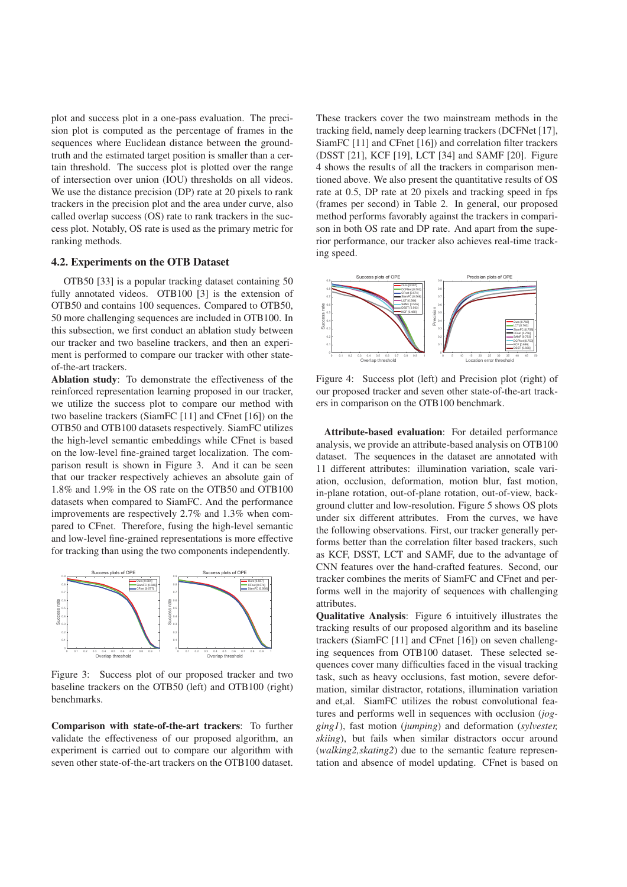plot and success plot in a one-pass evaluation. The precision plot is computed as the percentage of frames in the sequences where Euclidean distance between the groundtruth and the estimated target position is smaller than a certain threshold. The success plot is plotted over the range of intersection over union (IOU) thresholds on all videos. We use the distance precision (DP) rate at 20 pixels to rank trackers in the precision plot and the area under curve, also called overlap success (OS) rate to rank trackers in the success plot. Notably, OS rate is used as the primary metric for ranking methods.

#### 4.2. Experiments on the OTB Dataset

OTB50 [33] is a popular tracking dataset containing 50 fully annotated videos. OTB100 [3] is the extension of OTB50 and contains 100 sequences. Compared to OTB50, 50 more challenging sequences are included in OTB100. In this subsection, we first conduct an ablation study between our tracker and two baseline trackers, and then an experiment is performed to compare our tracker with other stateof-the-art trackers.

Ablation study: To demonstrate the effectiveness of the reinforced representation learning proposed in our tracker, we utilize the success plot to compare our method with two baseline trackers (SiamFC [11] and CFnet [16]) on the OTB50 and OTB100 datasets respectively. SiamFC utilizes the high-level semantic embeddings while CFnet is based on the low-level fine-grained target localization. The comparison result is shown in Figure 3. And it can be seen that our tracker respectively achieves an absolute gain of 1.8% and 1.9% in the OS rate on the OTB50 and OTB100 datasets when compared to SiamFC. And the performance improvements are respectively 2.7% and 1.3% when compared to CFnet. Therefore, fusing the high-level semantic and low-level fine-grained representations is more effective for tracking than using the two components independently.



Figure 3: Success plot of our proposed tracker and two baseline trackers on the OTB50 (left) and OTB100 (right) benchmarks.

Comparison with state-of-the-art trackers: To further validate the effectiveness of our proposed algorithm, an experiment is carried out to compare our algorithm with seven other state-of-the-art trackers on the OTB100 dataset.

These trackers cover the two mainstream methods in the tracking field, namely deep learning trackers (DCFNet [17], SiamFC [11] and CFnet [16]) and correlation filter trackers (DSST [21], KCF [19], LCT [34] and SAMF [20]. Figure 4 shows the results of all the trackers in comparison mentioned above. We also present the quantitative results of OS rate at 0.5, DP rate at 20 pixels and tracking speed in fps (frames per second) in Table 2. In general, our proposed method performs favorably against the trackers in comparison in both OS rate and DP rate. And apart from the superior performance, our tracker also achieves real-time tracking speed.



Figure 4: Success plot (left) and Precision plot (right) of our proposed tracker and seven other state-of-the-art trackers in comparison on the OTB100 benchmark.

Attribute-based evaluation: For detailed performance analysis, we provide an attribute-based analysis on OTB100 dataset. The sequences in the dataset are annotated with 11 different attributes: illumination variation, scale variation, occlusion, deformation, motion blur, fast motion, in-plane rotation, out-of-plane rotation, out-of-view, background clutter and low-resolution. Figure 5 shows OS plots under six different attributes. From the curves, we have the following observations. First, our tracker generally performs better than the correlation filter based trackers, such as KCF, DSST, LCT and SAMF, due to the advantage of CNN features over the hand-crafted features. Second, our tracker combines the merits of SiamFC and CFnet and performs well in the majority of sequences with challenging attributes.

Qualitative Analysis: Figure 6 intuitively illustrates the tracking results of our proposed algorithm and its baseline trackers (SiamFC [11] and CFnet [16]) on seven challenging sequences from OTB100 dataset. These selected sequences cover many difficulties faced in the visual tracking task, such as heavy occlusions, fast motion, severe deformation, similar distractor, rotations, illumination variation and et,al. SiamFC utilizes the robust convolutional features and performs well in sequences with occlusion (*jogging1*), fast motion (*jumping*) and deformation (*sylvester, skiing*), but fails when similar distractors occur around (*walking2,skating2*) due to the semantic feature representation and absence of model updating. CFnet is based on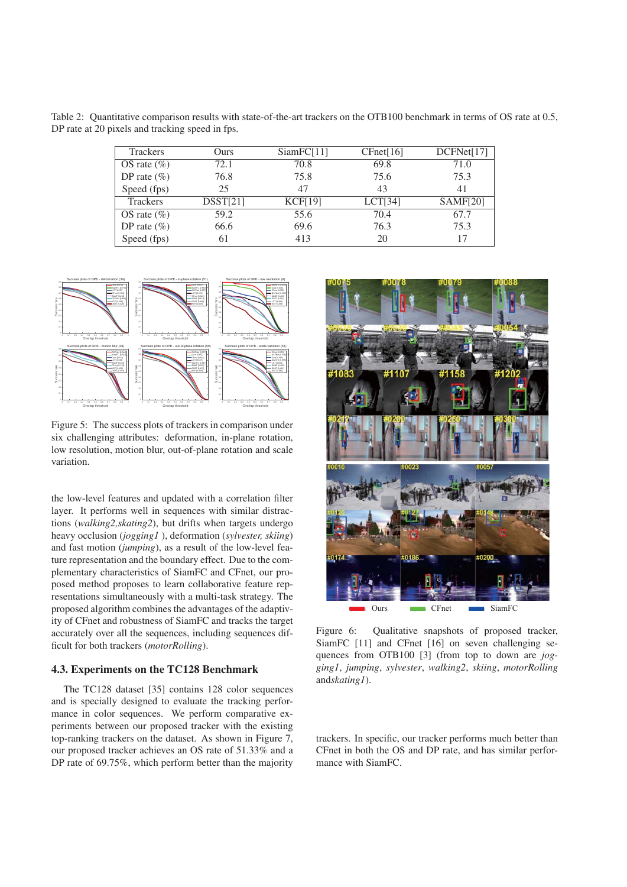Table 2: Quantitative comparison results with state-of-the-art trackers on the OTB100 benchmark in terms of OS rate at 0.5, DP rate at 20 pixels and tracking speed in fps.

| <b>Trackers</b> | Ours     | SiamFC[11]     | CFnet[16] | DCFNet[17] |
|-----------------|----------|----------------|-----------|------------|
| OS rate $(\%)$  | 72.1     | 70.8           | 69.8      | 71.0       |
| DP rate $(\% )$ | 76.8     | 75.8           | 75.6      | 75.3       |
| Speed (fps)     | 25       | 47             | 43        | 41         |
| <b>Trackers</b> | DSST[21] | <b>KCF[19]</b> | LCT[34]   | SAMF[20]   |
| OS rate $(\%)$  | 59.2     | 55.6           | 70.4      | 67.7       |
| DP rate $(\%)$  | 66.6     | 69.6           | 76.3      | 75.3       |
| Speed (fps)     | 61       | 413            | 20        | 17         |



Figure 5: The success plots of trackers in comparison under six challenging attributes: deformation, in-plane rotation, low resolution, motion blur, out-of-plane rotation and scale variation.

the low-level features and updated with a correlation filter layer. It performs well in sequences with similar distractions (*walking2,skating2*), but drifts when targets undergo heavy occlusion (*jogging1* ), deformation (*sylvester, skiing*) and fast motion (*jumping*), as a result of the low-level feature representation and the boundary effect. Due to the complementary characteristics of SiamFC and CFnet, our proposed method proposes to learn collaborative feature representations simultaneously with a multi-task strategy. The proposed algorithm combines the advantages of the adaptivity of CFnet and robustness of SiamFC and tracks the target accurately over all the sequences, including sequences difficult for both trackers (*motorRolling*).

# 4.3. Experiments on the TC128 Benchmark

The TC128 dataset [35] contains 128 color sequences and is specially designed to evaluate the tracking performance in color sequences. We perform comparative experiments between our proposed tracker with the existing top-ranking trackers on the dataset. As shown in Figure 7, our proposed tracker achieves an OS rate of 51.33% and a DP rate of 69.75%, which perform better than the majority



Figure 6: Qualitative snapshots of proposed tracker, SiamFC [11] and CFnet [16] on seven challenging sequences from OTB100 [3] (from top to down are *jogging1*, *jumping*, *sylvester*, *walking2*, *skiing*, *motorRolling* and*skating1*).

trackers. In specific, our tracker performs much better than CFnet in both the OS and DP rate, and has similar performance with SiamFC.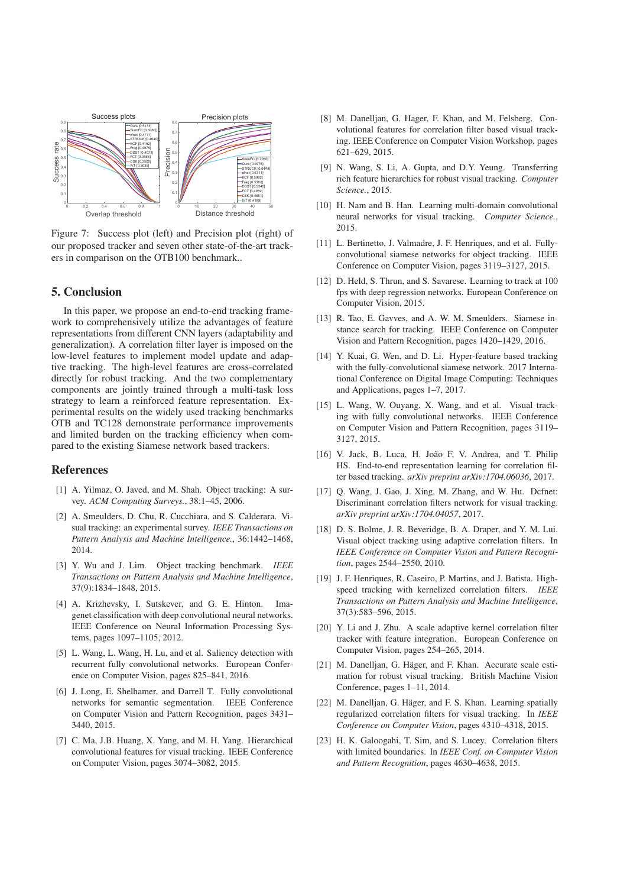

Figure 7: Success plot (left) and Precision plot (right) of our proposed tracker and seven other state-of-the-art trackers in comparison on the OTB100 benchmark..

## 5. Conclusion

In this paper, we propose an end-to-end tracking framework to comprehensively utilize the advantages of feature representations from different CNN layers (adaptability and generalization). A correlation filter layer is imposed on the low-level features to implement model update and adaptive tracking. The high-level features are cross-correlated directly for robust tracking. And the two complementary components are jointly trained through a multi-task loss strategy to learn a reinforced feature representation. Experimental results on the widely used tracking benchmarks OTB and TC128 demonstrate performance improvements and limited burden on the tracking efficiency when compared to the existing Siamese network based trackers.

#### References

- [1] A. Yilmaz, O. Javed, and M. Shah. Object tracking: A survey. *ACM Computing Surveys.*, 38:1–45, 2006.
- [2] A. Smeulders, D. Chu, R. Cucchiara, and S. Calderara. Visual tracking: an experimental survey. *IEEE Transactions on Pattern Analysis and Machine Intelligence.*, 36:1442–1468, 2014.
- [3] Y. Wu and J. Lim. Object tracking benchmark. *IEEE Transactions on Pattern Analysis and Machine Intelligence*, 37(9):1834–1848, 2015.
- [4] A. Krizhevsky, I. Sutskever, and G. E. Hinton. Imagenet classification with deep convolutional neural networks. IEEE Conference on Neural Information Processing Systems, pages 1097–1105, 2012.
- [5] L. Wang, L. Wang, H. Lu, and et al. Saliency detection with recurrent fully convolutional networks. European Conference on Computer Vision, pages 825–841, 2016.
- [6] J. Long, E. Shelhamer, and Darrell T. Fully convolutional networks for semantic segmentation. IEEE Conference on Computer Vision and Pattern Recognition, pages 3431– 3440, 2015.
- [7] C. Ma, J.B. Huang, X. Yang, and M. H. Yang. Hierarchical convolutional features for visual tracking. IEEE Conference on Computer Vision, pages 3074–3082, 2015.
- [8] M. Danelljan, G. Hager, F. Khan, and M. Felsberg. Convolutional features for correlation filter based visual tracking. IEEE Conference on Computer Vision Workshop, pages 621–629, 2015.
- [9] N. Wang, S. Li, A. Gupta, and D.Y. Yeung. Transferring rich feature hierarchies for robust visual tracking. *Computer Science.*, 2015.
- [10] H. Nam and B. Han. Learning multi-domain convolutional neural networks for visual tracking. *Computer Science.*, 2015.
- [11] L. Bertinetto, J. Valmadre, J. F. Henriques, and et al. Fullyconvolutional siamese networks for object tracking. IEEE Conference on Computer Vision, pages 3119–3127, 2015.
- [12] D. Held, S. Thrun, and S. Savarese. Learning to track at 100 fps with deep regression networks. European Conference on Computer Vision, 2015.
- [13] R. Tao, E. Gavves, and A. W. M. Smeulders. Siamese instance search for tracking. IEEE Conference on Computer Vision and Pattern Recognition, pages 1420–1429, 2016.
- [14] Y. Kuai, G. Wen, and D. Li. Hyper-feature based tracking with the fully-convolutional siamese network. 2017 International Conference on Digital Image Computing: Techniques and Applications, pages 1–7, 2017.
- [15] L. Wang, W. Ouyang, X. Wang, and et al. Visual tracking with fully convolutional networks. IEEE Conference on Computer Vision and Pattern Recognition, pages 3119– 3127, 2015.
- [16] V. Jack, B. Luca, H. João F, V. Andrea, and T. Philip HS. End-to-end representation learning for correlation filter based tracking. *arXiv preprint arXiv:1704.06036*, 2017.
- [17] Q. Wang, J. Gao, J. Xing, M. Zhang, and W. Hu. Dcfnet: Discriminant correlation filters network for visual tracking. *arXiv preprint arXiv:1704.04057*, 2017.
- [18] D. S. Bolme, J. R. Beveridge, B. A. Draper, and Y. M. Lui. Visual object tracking using adaptive correlation filters. In *IEEE Conference on Computer Vision and Pattern Recognition*, pages 2544–2550, 2010.
- [19] J. F. Henriques, R. Caseiro, P. Martins, and J. Batista. Highspeed tracking with kernelized correlation filters. *IEEE Transactions on Pattern Analysis and Machine Intelligence*, 37(3):583–596, 2015.
- [20] Y. Li and J. Zhu. A scale adaptive kernel correlation filter tracker with feature integration. European Conference on Computer Vision, pages 254–265, 2014.
- [21] M. Danelljan, G. Häger, and F. Khan. Accurate scale estimation for robust visual tracking. British Machine Vision Conference, pages 1–11, 2014.
- [22] M. Danelljan, G. Häger, and F. S. Khan. Learning spatially regularized correlation filters for visual tracking. In *IEEE Conference on Computer Vision*, pages 4310–4318, 2015.
- [23] H. K. Galoogahi, T. Sim, and S. Lucey. Correlation filters with limited boundaries. In *IEEE Conf. on Computer Vision and Pattern Recognition*, pages 4630–4638, 2015.